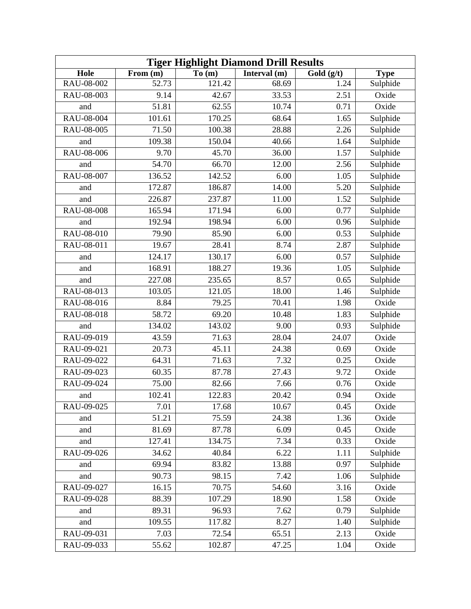| <b>Tiger Highlight Diamond Drill Results</b> |          |        |              |            |             |  |
|----------------------------------------------|----------|--------|--------------|------------|-------------|--|
| Hole                                         | From (m) | To (m) | Interval (m) | Gold (g/t) | <b>Type</b> |  |
| RAU-08-002                                   | 52.73    | 121.42 | 68.69        | 1.24       | Sulphide    |  |
| RAU-08-003                                   | 9.14     | 42.67  | 33.53        | 2.51       | Oxide       |  |
| and                                          | 51.81    | 62.55  | 10.74        | 0.71       | Oxide       |  |
| RAU-08-004                                   | 101.61   | 170.25 | 68.64        | 1.65       | Sulphide    |  |
| RAU-08-005                                   | 71.50    | 100.38 | 28.88        | 2.26       | Sulphide    |  |
| and                                          | 109.38   | 150.04 | 40.66        | 1.64       | Sulphide    |  |
| RAU-08-006                                   | 9.70     | 45.70  | 36.00        | 1.57       | Sulphide    |  |
| and                                          | 54.70    | 66.70  | 12.00        | 2.56       | Sulphide    |  |
| RAU-08-007                                   | 136.52   | 142.52 | 6.00         | 1.05       | Sulphide    |  |
| and                                          | 172.87   | 186.87 | 14.00        | 5.20       | Sulphide    |  |
| and                                          | 226.87   | 237.87 | 11.00        | 1.52       | Sulphide    |  |
| RAU-08-008                                   | 165.94   | 171.94 | 6.00         | 0.77       | Sulphide    |  |
| and                                          | 192.94   | 198.94 | 6.00         | 0.96       | Sulphide    |  |
| RAU-08-010                                   | 79.90    | 85.90  | 6.00         | 0.53       | Sulphide    |  |
| RAU-08-011                                   | 19.67    | 28.41  | 8.74         | 2.87       | Sulphide    |  |
| and                                          | 124.17   | 130.17 | 6.00         | 0.57       | Sulphide    |  |
| and                                          | 168.91   | 188.27 | 19.36        | 1.05       | Sulphide    |  |
| and                                          | 227.08   | 235.65 | 8.57         | 0.65       | Sulphide    |  |
| RAU-08-013                                   | 103.05   | 121.05 | 18.00        | 1.46       | Sulphide    |  |
| RAU-08-016                                   | 8.84     | 79.25  | 70.41        | 1.98       | Oxide       |  |
| RAU-08-018                                   | 58.72    | 69.20  | 10.48        | 1.83       | Sulphide    |  |
| and                                          | 134.02   | 143.02 | 9.00         | 0.93       | Sulphide    |  |
| RAU-09-019                                   | 43.59    | 71.63  | 28.04        | 24.07      | Oxide       |  |
| RAU-09-021                                   | 20.73    | 45.11  | 24.38        | 0.69       | Oxide       |  |
| RAU-09-022                                   | 64.31    | 71.63  | 7.32         | 0.25       | Oxide       |  |
| RAU-09-023                                   | 60.35    | 87.78  | 27.43        | 9.72       | Oxide       |  |
| RAU-09-024                                   | 75.00    | 82.66  | 7.66         | 0.76       | Oxide       |  |
| and                                          | 102.41   | 122.83 | 20.42        | 0.94       | Oxide       |  |
| RAU-09-025                                   | 7.01     | 17.68  | 10.67        | 0.45       | Oxide       |  |
| and                                          | 51.21    | 75.59  | 24.38        | 1.36       | Oxide       |  |
| and                                          | 81.69    | 87.78  | 6.09         | 0.45       | Oxide       |  |
| and                                          | 127.41   | 134.75 | 7.34         | 0.33       | Oxide       |  |
| RAU-09-026                                   | 34.62    | 40.84  | 6.22         | 1.11       | Sulphide    |  |
| and                                          | 69.94    | 83.82  | 13.88        | 0.97       | Sulphide    |  |
| and                                          | 90.73    | 98.15  | 7.42         | 1.06       | Sulphide    |  |
| RAU-09-027                                   | 16.15    | 70.75  | 54.60        | 3.16       | Oxide       |  |
| RAU-09-028                                   | 88.39    | 107.29 | 18.90        | 1.58       | Oxide       |  |
| and                                          | 89.31    | 96.93  | 7.62         | 0.79       | Sulphide    |  |
| and                                          | 109.55   | 117.82 | 8.27         | 1.40       | Sulphide    |  |
| RAU-09-031                                   | 7.03     | 72.54  | 65.51        | 2.13       | Oxide       |  |
| RAU-09-033                                   | 55.62    | 102.87 | 47.25        | 1.04       | Oxide       |  |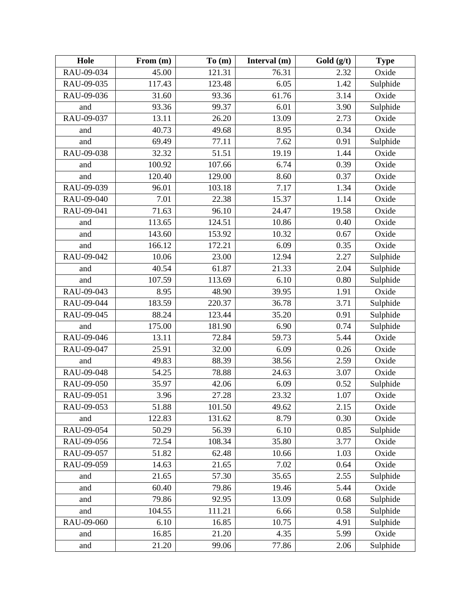| Hole       | From (m) | To(m)  | Interval (m) | Gold (g/t) | <b>Type</b> |
|------------|----------|--------|--------------|------------|-------------|
| RAU-09-034 | 45.00    | 121.31 | 76.31        | 2.32       | Oxide       |
| RAU-09-035 | 117.43   | 123.48 | 6.05         | 1.42       | Sulphide    |
| RAU-09-036 | 31.60    | 93.36  | 61.76        | 3.14       | Oxide       |
| and        | 93.36    | 99.37  | 6.01         | 3.90       | Sulphide    |
| RAU-09-037 | 13.11    | 26.20  | 13.09        | 2.73       | Oxide       |
| and        | 40.73    | 49.68  | 8.95         | 0.34       | Oxide       |
| and        | 69.49    | 77.11  | 7.62         | 0.91       | Sulphide    |
| RAU-09-038 | 32.32    | 51.51  | 19.19        | 1.44       | Oxide       |
| and        | 100.92   | 107.66 | 6.74         | 0.39       | Oxide       |
| and        | 120.40   | 129.00 | 8.60         | 0.37       | Oxide       |
| RAU-09-039 | 96.01    | 103.18 | 7.17         | 1.34       | Oxide       |
| RAU-09-040 | 7.01     | 22.38  | 15.37        | 1.14       | Oxide       |
| RAU-09-041 | 71.63    | 96.10  | 24.47        | 19.58      | Oxide       |
| and        | 113.65   | 124.51 | 10.86        | 0.40       | Oxide       |
| and        | 143.60   | 153.92 | 10.32        | 0.67       | Oxide       |
| and        | 166.12   | 172.21 | 6.09         | 0.35       | Oxide       |
| RAU-09-042 | 10.06    | 23.00  | 12.94        | 2.27       | Sulphide    |
| and        | 40.54    | 61.87  | 21.33        | 2.04       | Sulphide    |
| and        | 107.59   | 113.69 | 6.10         | 0.80       | Sulphide    |
| RAU-09-043 | 8.95     | 48.90  | 39.95        | 1.91       | Oxide       |
| RAU-09-044 | 183.59   | 220.37 | 36.78        | 3.71       | Sulphide    |
| RAU-09-045 | 88.24    | 123.44 | 35.20        | 0.91       | Sulphide    |
| and        | 175.00   | 181.90 | 6.90         | 0.74       | Sulphide    |
| RAU-09-046 | 13.11    | 72.84  | 59.73        | 5.44       | Oxide       |
| RAU-09-047 | 25.91    | 32.00  | 6.09         | 0.26       | Oxide       |
| and        | 49.83    | 88.39  | 38.56        | 2.59       | Oxide       |
| RAU-09-048 | 54.25    | 78.88  | 24.63        | 3.07       | Oxide       |
| RAU-09-050 | 35.97    | 42.06  | 6.09         | 0.52       | Sulphide    |
| RAU-09-051 | 3.96     | 27.28  | 23.32        | 1.07       | Oxide       |
| RAU-09-053 | 51.88    | 101.50 | 49.62        | 2.15       | Oxide       |
| and        | 122.83   | 131.62 | 8.79         | 0.30       | Oxide       |
| RAU-09-054 | 50.29    | 56.39  | 6.10         | 0.85       | Sulphide    |
| RAU-09-056 | 72.54    | 108.34 | 35.80        | 3.77       | Oxide       |
| RAU-09-057 | 51.82    | 62.48  | 10.66        | 1.03       | Oxide       |
| RAU-09-059 | 14.63    | 21.65  | 7.02         | 0.64       | Oxide       |
| and        | 21.65    | 57.30  | 35.65        | 2.55       | Sulphide    |
| and        | 60.40    | 79.86  | 19.46        | 5.44       | Oxide       |
| and        | 79.86    | 92.95  | 13.09        | 0.68       | Sulphide    |
| and        | 104.55   | 111.21 | 6.66         | 0.58       | Sulphide    |
| RAU-09-060 | 6.10     | 16.85  | 10.75        | 4.91       | Sulphide    |
| and        | 16.85    | 21.20  | 4.35         | 5.99       | Oxide       |
| and        | 21.20    | 99.06  | 77.86        | 2.06       | Sulphide    |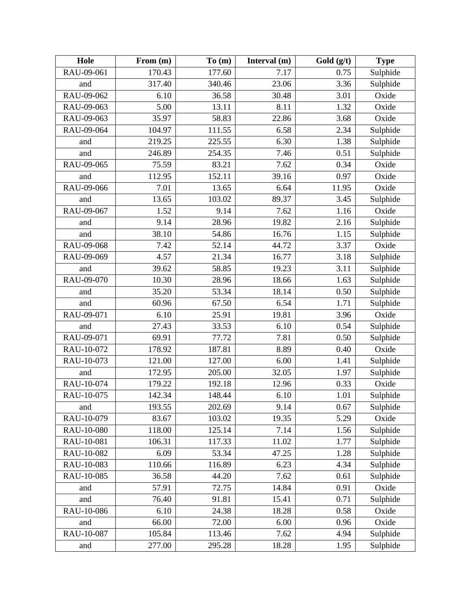| Hole       | From (m) | To(m)  | Interval (m) | Gold $(g/t)$ | <b>Type</b> |
|------------|----------|--------|--------------|--------------|-------------|
| RAU-09-061 | 170.43   | 177.60 | 7.17         | 0.75         | Sulphide    |
| and        | 317.40   | 340.46 | 23.06        | 3.36         | Sulphide    |
| RAU-09-062 | 6.10     | 36.58  | 30.48        | 3.01         | Oxide       |
| RAU-09-063 | 5.00     | 13.11  | 8.11         | 1.32         | Oxide       |
| RAU-09-063 | 35.97    | 58.83  | 22.86        | 3.68         | Oxide       |
| RAU-09-064 | 104.97   | 111.55 | 6.58         | 2.34         | Sulphide    |
| and        | 219.25   | 225.55 | 6.30         | 1.38         | Sulphide    |
| and        | 246.89   | 254.35 | 7.46         | 0.51         | Sulphide    |
| RAU-09-065 | 75.59    | 83.21  | 7.62         | 0.34         | Oxide       |
| and        | 112.95   | 152.11 | 39.16        | 0.97         | Oxide       |
| RAU-09-066 | 7.01     | 13.65  | 6.64         | 11.95        | Oxide       |
| and        | 13.65    | 103.02 | 89.37        | 3.45         | Sulphide    |
| RAU-09-067 | 1.52     | 9.14   | 7.62         | 1.16         | Oxide       |
| and        | 9.14     | 28.96  | 19.82        | 2.16         | Sulphide    |
| and        | 38.10    | 54.86  | 16.76        | 1.15         | Sulphide    |
| RAU-09-068 | 7.42     | 52.14  | 44.72        | 3.37         | Oxide       |
| RAU-09-069 | 4.57     | 21.34  | 16.77        | 3.18         | Sulphide    |
| and        | 39.62    | 58.85  | 19.23        | 3.11         | Sulphide    |
| RAU-09-070 | 10.30    | 28.96  | 18.66        | 1.63         | Sulphide    |
| and        | 35.20    | 53.34  | 18.14        | 0.50         | Sulphide    |
| and        | 60.96    | 67.50  | 6.54         | 1.71         | Sulphide    |
| RAU-09-071 | 6.10     | 25.91  | 19.81        | 3.96         | Oxide       |
| and        | 27.43    | 33.53  | 6.10         | 0.54         | Sulphide    |
| RAU-09-071 | 69.91    | 77.72  | 7.81         | 0.50         | Sulphide    |
| RAU-10-072 | 178.92   | 187.81 | 8.89         | 0.40         | Oxide       |
| RAU-10-073 | 121.00   | 127.00 | 6.00         | 1.41         | Sulphide    |
| and        | 172.95   | 205.00 | 32.05        | 1.97         | Sulphide    |
| RAU-10-074 | 179.22   | 192.18 | 12.96        | 0.33         | Oxide       |
| RAU-10-075 | 142.34   | 148.44 | 6.10         | 1.01         | Sulphide    |
| and        | 193.55   | 202.69 | 9.14         | 0.67         | Sulphide    |
| RAU-10-079 | 83.67    | 103.02 | 19.35        | 5.29         | Oxide       |
| RAU-10-080 | 118.00   | 125.14 | 7.14         | 1.56         | Sulphide    |
| RAU-10-081 | 106.31   | 117.33 | 11.02        | 1.77         | Sulphide    |
| RAU-10-082 | 6.09     | 53.34  | 47.25        | 1.28         | Sulphide    |
| RAU-10-083 | 110.66   | 116.89 | 6.23         | 4.34         | Sulphide    |
| RAU-10-085 | 36.58    | 44.20  | 7.62         | 0.61         | Sulphide    |
| and        | 57.91    | 72.75  | 14.84        | 0.91         | Oxide       |
| and        | 76.40    | 91.81  | 15.41        | 0.71         | Sulphide    |
| RAU-10-086 | 6.10     | 24.38  | 18.28        | 0.58         | Oxide       |
| and        | 66.00    | 72.00  | 6.00         | 0.96         | Oxide       |
| RAU-10-087 | 105.84   | 113.46 | 7.62         | 4.94         | Sulphide    |
| and        | 277.00   | 295.28 | 18.28        | 1.95         | Sulphide    |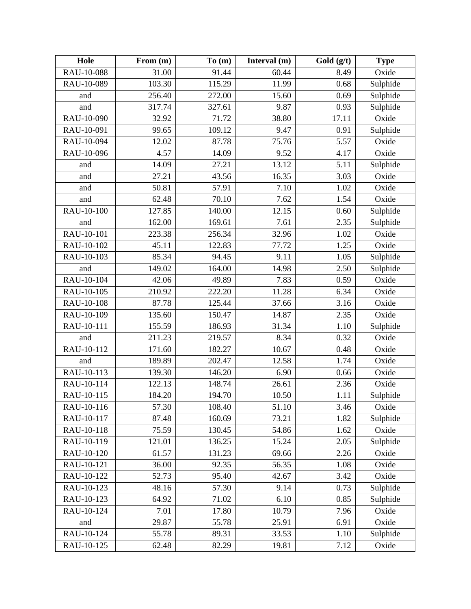| Hole       | From (m) | To(m)  | Interval (m) | Gold $(g/t)$ | <b>Type</b> |
|------------|----------|--------|--------------|--------------|-------------|
| RAU-10-088 | 31.00    | 91.44  | 60.44        | 8.49         | Oxide       |
| RAU-10-089 | 103.30   | 115.29 | 11.99        | 0.68         | Sulphide    |
| and        | 256.40   | 272.00 | 15.60        | 0.69         | Sulphide    |
| and        | 317.74   | 327.61 | 9.87         | 0.93         | Sulphide    |
| RAU-10-090 | 32.92    | 71.72  | 38.80        | 17.11        | Oxide       |
| RAU-10-091 | 99.65    | 109.12 | 9.47         | 0.91         | Sulphide    |
| RAU-10-094 | 12.02    | 87.78  | 75.76        | 5.57         | Oxide       |
| RAU-10-096 | 4.57     | 14.09  | 9.52         | 4.17         | Oxide       |
| and        | 14.09    | 27.21  | 13.12        | 5.11         | Sulphide    |
| and        | 27.21    | 43.56  | 16.35        | 3.03         | Oxide       |
| and        | 50.81    | 57.91  | 7.10         | 1.02         | Oxide       |
| and        | 62.48    | 70.10  | 7.62         | 1.54         | Oxide       |
| RAU-10-100 | 127.85   | 140.00 | 12.15        | 0.60         | Sulphide    |
| and        | 162.00   | 169.61 | 7.61         | 2.35         | Sulphide    |
| RAU-10-101 | 223.38   | 256.34 | 32.96        | 1.02         | Oxide       |
| RAU-10-102 | 45.11    | 122.83 | 77.72        | 1.25         | Oxide       |
| RAU-10-103 | 85.34    | 94.45  | 9.11         | 1.05         | Sulphide    |
| and        | 149.02   | 164.00 | 14.98        | 2.50         | Sulphide    |
| RAU-10-104 | 42.06    | 49.89  | 7.83         | 0.59         | Oxide       |
| RAU-10-105 | 210.92   | 222.20 | 11.28        | 6.34         | Oxide       |
| RAU-10-108 | 87.78    | 125.44 | 37.66        | 3.16         | Oxide       |
| RAU-10-109 | 135.60   | 150.47 | 14.87        | 2.35         | Oxide       |
| RAU-10-111 | 155.59   | 186.93 | 31.34        | 1.10         | Sulphide    |
| and        | 211.23   | 219.57 | 8.34         | 0.32         | Oxide       |
| RAU-10-112 | 171.60   | 182.27 | 10.67        | 0.48         | Oxide       |
| and        | 189.89   | 202.47 | 12.58        | 1.74         | Oxide       |
| RAU-10-113 | 139.30   | 146.20 | 6.90         | 0.66         | Oxide       |
| RAU-10-114 | 122.13   | 148.74 | 26.61        | 2.36         | Oxide       |
| RAU-10-115 | 184.20   | 194.70 | 10.50        | 1.11         | Sulphide    |
| RAU-10-116 | 57.30    | 108.40 | 51.10        | 3.46         | Oxide       |
| RAU-10-117 | 87.48    | 160.69 | 73.21        | 1.82         | Sulphide    |
| RAU-10-118 | 75.59    | 130.45 | 54.86        | 1.62         | Oxide       |
| RAU-10-119 | 121.01   | 136.25 | 15.24        | 2.05         | Sulphide    |
| RAU-10-120 | 61.57    | 131.23 | 69.66        | 2.26         | Oxide       |
| RAU-10-121 | 36.00    | 92.35  | 56.35        | 1.08         | Oxide       |
| RAU-10-122 | 52.73    | 95.40  | 42.67        | 3.42         | Oxide       |
| RAU-10-123 | 48.16    | 57.30  | 9.14         | 0.73         | Sulphide    |
| RAU-10-123 | 64.92    | 71.02  | 6.10         | 0.85         | Sulphide    |
| RAU-10-124 | 7.01     | 17.80  | 10.79        | 7.96         | Oxide       |
| and        | 29.87    | 55.78  | 25.91        | 6.91         | Oxide       |
| RAU-10-124 | 55.78    | 89.31  | 33.53        | 1.10         | Sulphide    |
| RAU-10-125 | 62.48    | 82.29  | 19.81        | 7.12         | Oxide       |